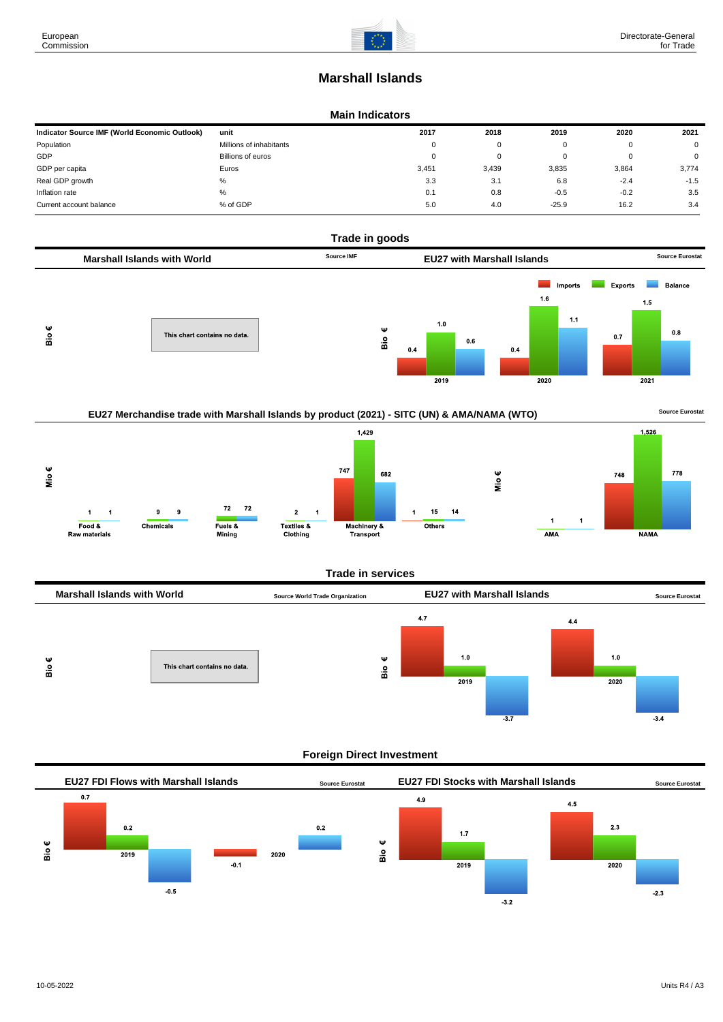# **Marshall Islands**

#### **Main Indicators**

| Indicator Source IMF (World Economic Outlook) | unit                    | 2017  | 2018  | 2019    | 2020   | 2021   |
|-----------------------------------------------|-------------------------|-------|-------|---------|--------|--------|
| Population                                    | Millions of inhabitants | 0     | 0     |         |        | 0      |
| GDP                                           | Billions of euros       | 0     | 0     |         | U      | 0      |
| GDP per capita                                | Euros                   | 3,451 | 3,439 | 3,835   | 3,864  | 3,774  |
| Real GDP growth                               | %                       | 3.3   | 3.1   | 6.8     | $-2.4$ | $-1.5$ |
| Inflation rate                                | %                       | 0.1   | 0.8   | $-0.5$  | $-0.2$ | 3.5    |
| Current account balance                       | % of GDP                | 5.0   | 4.0   | $-25.9$ | 16.2   | 3.4    |





## **Foreign Direct Investment**